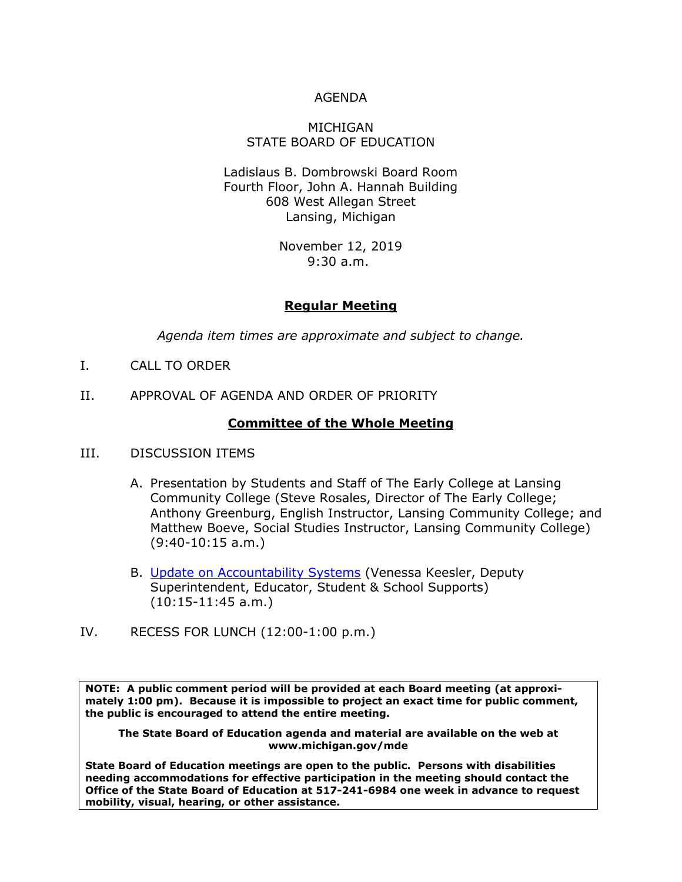### AGENDA

#### MICHIGAN STATE BOARD OF EDUCATION

Ladislaus B. Dombrowski Board Room Fourth Floor, John A. Hannah Building 608 West Allegan Street Lansing, Michigan

> November 12, 2019 9:30 a.m.

### **Regular Meeting**

*Agenda item times are approximate and subject to change.*

- I. CALL TO ORDER
- II. APPROVAL OF AGENDA AND ORDER OF PRIORITY

### **Committee of the Whole Meeting**

- III. DISCUSSION ITEMS
	- A. Presentation by Students and Staff of The Early College at Lansing Community College (Steve Rosales, Director of The Early College; Anthony Greenburg, English Instructor, Lansing Community College; and Matthew Boeve, Social Studies Instructor, Lansing Community College) (9:40-10:15 a.m.)
	- B. [Update on Accountability Systems](http://www.michigan.gov/documents/mde/Item_B_Statewide_System_of_Accountability_Nov._2019_670927_7.pdf) (Venessa Keesler, Deputy Superintendent, Educator, Student & School Supports) (10:15-11:45 a.m.)
- IV. RECESS FOR LUNCH (12:00-1:00 p.m.)

**NOTE: A public comment period will be provided at each Board meeting (at approximately 1:00 pm). Because it is impossible to project an exact time for public comment, the public is encouraged to attend the entire meeting.**

**The State Board of Education agenda and material are available on the web at www.michigan.gov/mde**

**State Board of Education meetings are open to the public. Persons with disabilities needing accommodations for effective participation in the meeting should contact the Office of the State Board of Education at 517-241-6984 one week in advance to request mobility, visual, hearing, or other assistance.**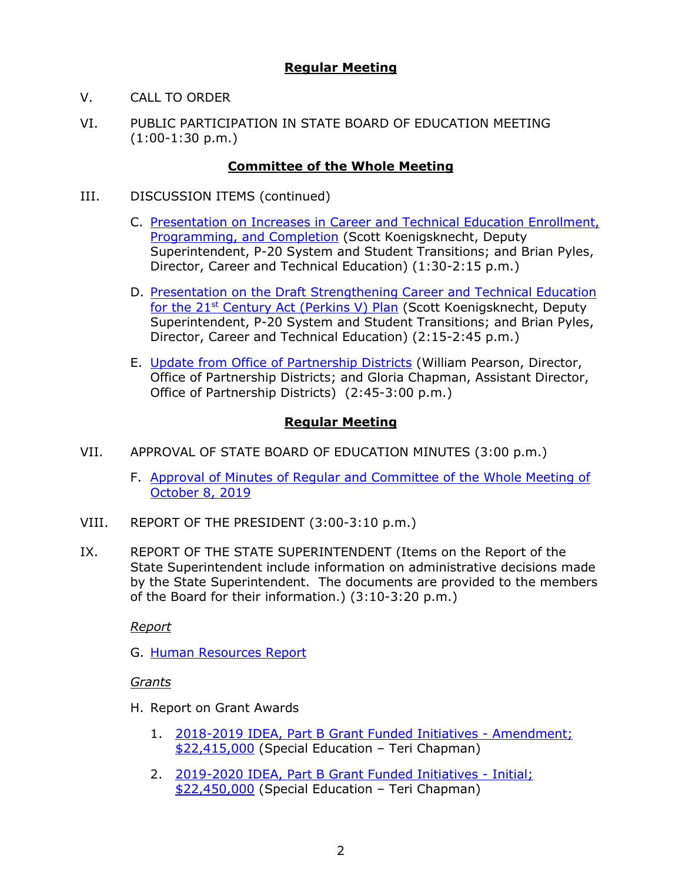## **Regular Meeting**

- V. CALL TO ORDER
- VI. PUBLIC PARTICIPATION IN STATE BOARD OF EDUCATION MEETING (1:00-1:30 p.m.)

### **Committee of the Whole Meeting**

- III. DISCUSSION ITEMS (continued)
	- C. [Presentation on Increases in Career and Technical Education Enrollment,](http://www.michigan.gov/documents/mde/Item_C_Increases_in_CTE_EnrollmentProgramming__Completion_Memo.11_12_19_671032_7.pdf)  [Programming, and Completion](http://www.michigan.gov/documents/mde/Item_C_Increases_in_CTE_EnrollmentProgramming__Completion_Memo.11_12_19_671032_7.pdf) (Scott Koenigsknecht, Deputy Superintendent, P-20 System and Student Transitions; and Brian Pyles, Director, Career and Technical Education) (1:30-2:15 p.m.)
	- D. [Presentation on the Draft Strengthening Career and Technical Education](http://www.michigan.gov/documents/mde/Item_D_Presentation_on_Draft_Strengthening_Career_and_Technical_Education_for_the_21st_Century_Act_Perkins_V_Plan_669325_7.pdf)  for the 21st [Century Act \(Perkins V\) Plan](http://www.michigan.gov/documents/mde/Item_D_Presentation_on_Draft_Strengthening_Career_and_Technical_Education_for_the_21st_Century_Act_Perkins_V_Plan_669325_7.pdf) (Scott Koenigsknecht, Deputy Superintendent, P-20 System and Student Transitions; and Brian Pyles, Director, Career and Technical Education) (2:15-2:45 p.m.)
	- E. [Update from Office of Partnership Districts](http://www.michigan.gov/documents/mde/Item_E_Update_from_the_Office_of_Partnership_Districts_Nov._2019_669429_7.pdf) (William Pearson, Director, Office of Partnership Districts; and Gloria Chapman, Assistant Director, Office of Partnership Districts) (2:45-3:00 p.m.)

# **Regular Meeting**

- VII. APPROVAL OF STATE BOARD OF EDUCATION MINUTES (3:00 p.m.)
	- F. [Approval of Minutes of Regular and Committee of the Whole Meeting of](http://www.michigan.gov/documents/mde/Item_F_SBE_Minutes_October_8_2019_670659_7.pdf)  [October 8, 2019](http://www.michigan.gov/documents/mde/Item_F_SBE_Minutes_October_8_2019_670659_7.pdf)
- VIII. REPORT OF THE PRESIDENT (3:00-3:10 p.m.)
- IX. REPORT OF THE STATE SUPERINTENDENT (Items on the Report of the State Superintendent include information on administrative decisions made by the State Superintendent. The documents are provided to the members of the Board for their information.) (3:10-3:20 p.m.)

*Report*

G. [Human Resources Report](http://www.michigan.gov/documents/mde/Item_G_Human_Resource_Report_November_2019_669430_7.pdf)

*Grants*

- H. Report on Grant Awards
	- 1. [2018-2019 IDEA, Part B Grant Funded Initiatives -](https://gcc01.safelinks.protection.outlook.com/?url=http%3A%2F%2Fwww.michigan.gov%2Fdocuments%2Fmde%2F2018-2019_IDEA_Part_B_Grant_Funded_Initiatives_-_Amendment_22415000_668291_7.pdf&data=02%7C01%7CSchneiderM%40michigan.gov%7C0aa7888f6f984020039108d74daa552f%7Cd5fb7087377742ad966a892ef47225d1%7C0%7C0%7C637063266272567922&sdata=EUCHtA0DtzVjA8lIcrn84Om2O8zE%2BT7B90TR0o1z%2FtQ%3D&reserved=0) Amendment; [\\$22,415,000](https://gcc01.safelinks.protection.outlook.com/?url=http%3A%2F%2Fwww.michigan.gov%2Fdocuments%2Fmde%2F2018-2019_IDEA_Part_B_Grant_Funded_Initiatives_-_Amendment_22415000_668291_7.pdf&data=02%7C01%7CSchneiderM%40michigan.gov%7C0aa7888f6f984020039108d74daa552f%7Cd5fb7087377742ad966a892ef47225d1%7C0%7C0%7C637063266272567922&sdata=EUCHtA0DtzVjA8lIcrn84Om2O8zE%2BT7B90TR0o1z%2FtQ%3D&reserved=0) (Special Education – Teri Chapman)
	- 2. [2019-2020 IDEA, Part B Grant Funded Initiatives -](https://gcc01.safelinks.protection.outlook.com/?url=http%3A%2F%2Fwww.michigan.gov%2Fdocuments%2Fmde%2F2019-2020_IDEA_Part_B_Grant_Funded_Initiatives_-_Initial_22450000_668294_7.pdf&data=02%7C01%7CSchneiderM%40michigan.gov%7C0aa7888f6f984020039108d74daa552f%7Cd5fb7087377742ad966a892ef47225d1%7C0%7C0%7C637063266272577912&sdata=72%2F9GaaiDpGXscWf%2Bo3RA0ZcPnXNmDoXpYOoVVrQAlI%3D&reserved=0) Initial; [\\$22,450,000](https://gcc01.safelinks.protection.outlook.com/?url=http%3A%2F%2Fwww.michigan.gov%2Fdocuments%2Fmde%2F2019-2020_IDEA_Part_B_Grant_Funded_Initiatives_-_Initial_22450000_668294_7.pdf&data=02%7C01%7CSchneiderM%40michigan.gov%7C0aa7888f6f984020039108d74daa552f%7Cd5fb7087377742ad966a892ef47225d1%7C0%7C0%7C637063266272577912&sdata=72%2F9GaaiDpGXscWf%2Bo3RA0ZcPnXNmDoXpYOoVVrQAlI%3D&reserved=0) (Special Education – Teri Chapman)